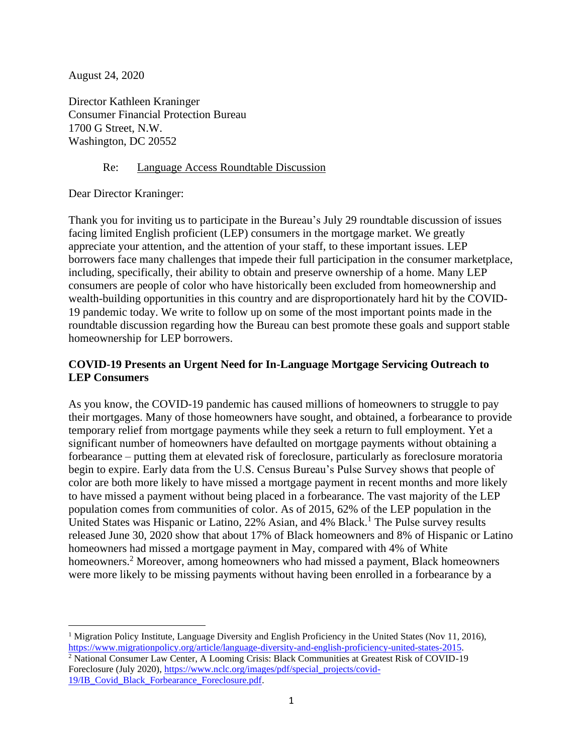August 24, 2020

Director Kathleen Kraninger Consumer Financial Protection Bureau 1700 G Street, N.W. Washington, DC 20552

## Re: Language Access Roundtable Discussion

Dear Director Kraninger:

Thank you for inviting us to participate in the Bureau's July 29 roundtable discussion of issues facing limited English proficient (LEP) consumers in the mortgage market. We greatly appreciate your attention, and the attention of your staff, to these important issues. LEP borrowers face many challenges that impede their full participation in the consumer marketplace, including, specifically, their ability to obtain and preserve ownership of a home. Many LEP consumers are people of color who have historically been excluded from homeownership and wealth-building opportunities in this country and are disproportionately hard hit by the COVID-19 pandemic today. We write to follow up on some of the most important points made in the roundtable discussion regarding how the Bureau can best promote these goals and support stable homeownership for LEP borrowers.

## **COVID-19 Presents an Urgent Need for In-Language Mortgage Servicing Outreach to LEP Consumers**

As you know, the COVID-19 pandemic has caused millions of homeowners to struggle to pay their mortgages. Many of those homeowners have sought, and obtained, a forbearance to provide temporary relief from mortgage payments while they seek a return to full employment. Yet a significant number of homeowners have defaulted on mortgage payments without obtaining a forbearance – putting them at elevated risk of foreclosure, particularly as foreclosure moratoria begin to expire. Early data from the U.S. Census Bureau's Pulse Survey shows that people of color are both more likely to have missed a mortgage payment in recent months and more likely to have missed a payment without being placed in a forbearance. The vast majority of the LEP population comes from communities of color. As of 2015, 62% of the LEP population in the United States was Hispanic or Latino, 22% Asian, and 4% Black.<sup>1</sup> The Pulse survey results released June 30, 2020 show that about 17% of Black homeowners and 8% of Hispanic or Latino homeowners had missed a mortgage payment in May, compared with 4% of White homeowners.<sup>2</sup> Moreover, among homeowners who had missed a payment, Black homeowners were more likely to be missing payments without having been enrolled in a forbearance by a

<sup>1</sup> Migration Policy Institute, Language Diversity and English Proficiency in the United States (Nov 11, 2016), [https://www.migrationpolicy.org/article/language-diversity-and-english-proficiency-united-states-2015.](https://www.migrationpolicy.org/article/language-diversity-and-english-proficiency-united-states-2015) <sup>2</sup> National Consumer Law Center, A Looming Crisis: Black Communities at Greatest Risk of COVID-19 Foreclosure (July 2020)[, https://www.nclc.org/images/pdf/special\\_projects/covid-](https://www.nclc.org/images/pdf/special_projects/covid-19/IB_Covid_Black_Forbearance_Foreclosure.pdf)[19/IB\\_Covid\\_Black\\_Forbearance\\_Foreclosure.pdf.](https://www.nclc.org/images/pdf/special_projects/covid-19/IB_Covid_Black_Forbearance_Foreclosure.pdf)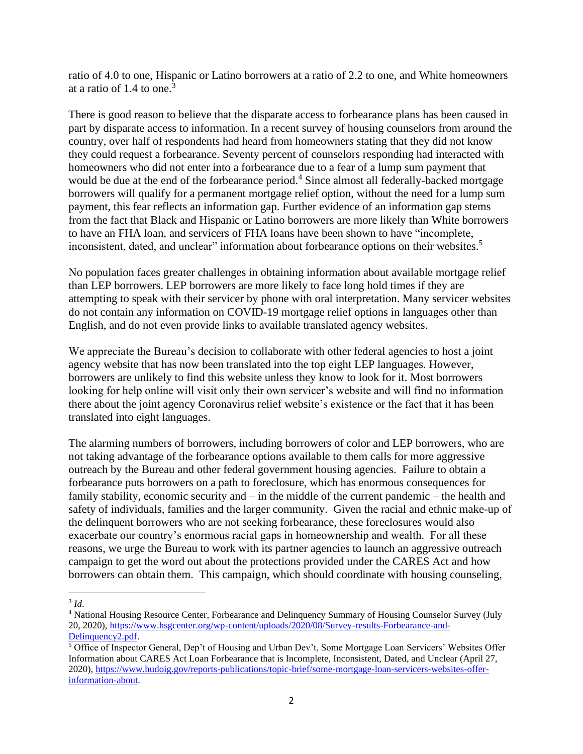ratio of 4.0 to one, Hispanic or Latino borrowers at a ratio of 2.2 to one, and White homeowners at a ratio of 1.4 to one. 3

There is good reason to believe that the disparate access to forbearance plans has been caused in part by disparate access to information. In a recent survey of housing counselors from around the country, over half of respondents had heard from homeowners stating that they did not know they could request a forbearance. Seventy percent of counselors responding had interacted with homeowners who did not enter into a forbearance due to a fear of a lump sum payment that would be due at the end of the forbearance period.<sup>4</sup> Since almost all federally-backed mortgage borrowers will qualify for a permanent mortgage relief option, without the need for a lump sum payment, this fear reflects an information gap. Further evidence of an information gap stems from the fact that Black and Hispanic or Latino borrowers are more likely than White borrowers to have an FHA loan, and servicers of FHA loans have been shown to have "incomplete, inconsistent, dated, and unclear" information about forbearance options on their websites.<sup>5</sup>

No population faces greater challenges in obtaining information about available mortgage relief than LEP borrowers. LEP borrowers are more likely to face long hold times if they are attempting to speak with their servicer by phone with oral interpretation. Many servicer websites do not contain any information on COVID-19 mortgage relief options in languages other than English, and do not even provide links to available translated agency websites.

We appreciate the Bureau's decision to collaborate with other federal agencies to host a joint agency website that has now been translated into the top eight LEP languages. However, borrowers are unlikely to find this website unless they know to look for it. Most borrowers looking for help online will visit only their own servicer's website and will find no information there about the joint agency Coronavirus relief website's existence or the fact that it has been translated into eight languages.

The alarming numbers of borrowers, including borrowers of color and LEP borrowers, who are not taking advantage of the forbearance options available to them calls for more aggressive outreach by the Bureau and other federal government housing agencies. Failure to obtain a forbearance puts borrowers on a path to foreclosure, which has enormous consequences for family stability, economic security and – in the middle of the current pandemic – the health and safety of individuals, families and the larger community. Given the racial and ethnic make-up of the delinquent borrowers who are not seeking forbearance, these foreclosures would also exacerbate our country's enormous racial gaps in homeownership and wealth. For all these reasons, we urge the Bureau to work with its partner agencies to launch an aggressive outreach campaign to get the word out about the protections provided under the CARES Act and how borrowers can obtain them. This campaign, which should coordinate with housing counseling,

<sup>3</sup> *Id*.

<sup>4</sup> National Housing Resource Center, Forbearance and Delinquency Summary of Housing Counselor Survey (July 20, 2020), [https://www.hsgcenter.org/wp-content/uploads/2020/08/Survey-results-Forbearance-and-](https://www.hsgcenter.org/wp-content/uploads/2020/08/Survey-results-Forbearance-and-Delinquency2.pdf)[Delinquency2.pdf.](https://www.hsgcenter.org/wp-content/uploads/2020/08/Survey-results-Forbearance-and-Delinquency2.pdf)

<sup>5</sup> Office of Inspector General, Dep't of Housing and Urban Dev't, Some Mortgage Loan Servicers' Websites Offer Information about CARES Act Loan Forbearance that is Incomplete, Inconsistent, Dated, and Unclear (April 27, 2020), [https://www.hudoig.gov/reports-publications/topic-brief/some-mortgage-loan-servicers-websites-offer](https://www.hudoig.gov/reports-publications/topic-brief/some-mortgage-loan-servicers-websites-offer-information-about)[information-about.](https://www.hudoig.gov/reports-publications/topic-brief/some-mortgage-loan-servicers-websites-offer-information-about)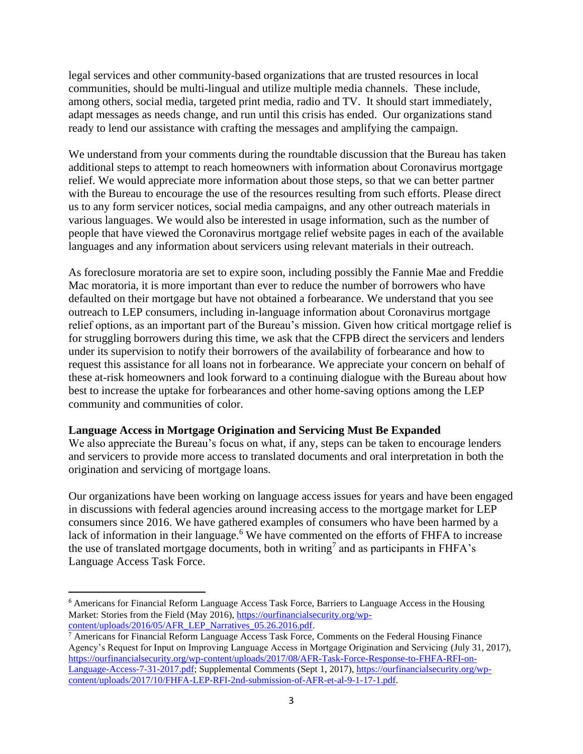legal services and other community-based organizations that are trusted resources in local communities, should be multi-lingual and utilize multiple media channels. These include, among others, social media, targeted print media, radio and TV. It should start immediately, adapt messages as needs change, and run until this crisis has ended. Our organizations stand ready to lend our assistance with crafting the messages and amplifying the campaign.

We understand from your comments during the roundtable discussion that the Bureau has taken additional steps to attempt to reach homeowners with information about Coronavirus mortgage relief. We would appreciate more information about those steps, so that we can better partner with the Bureau to encourage the use of the resources resulting from such efforts. Please direct us to any form servicer notices, social media campaigns, and any other outreach materials in various languages. We would also be interested in usage information, such as the number of people that have viewed the Coronavirus mortgage relief website pages in each of the available languages and any information about servicers using relevant materials in their outreach.

As foreclosure moratoria are set to expire soon, including possibly the Fannie Mae and Freddie Mac moratoria, it is more important than ever to reduce the number of borrowers who have defaulted on their mortgage but have not obtained a forbearance. We understand that you see outreach to LEP consumers, including in-language information about Coronavirus mortgage relief options, as an important part of the Bureau's mission. Given how critical mortgage relief is for struggling borrowers during this time, we ask that the CFPB direct the servicers and lenders under its supervision to notify their borrowers of the availability of forbearance and how to request this assistance for all loans not in forbearance. We appreciate your concern on behalf of these at-risk homeowners and look forward to a continuing dialogue with the Bureau about how best to increase the uptake for forbearances and other home-saving options among the LEP community and communities of color.

## **Language Access in Mortgage Origination and Servicing Must Be Expanded**

We also appreciate the Bureau's focus on what, if any, steps can be taken to encourage lenders and servicers to provide more access to translated documents and oral interpretation in both the origination and servicing of mortgage loans.

Our organizations have been working on language access issues for years and have been engaged in discussions with federal agencies around increasing access to the mortgage market for LEP consumers since 2016. We have gathered examples of consumers who have been harmed by a lack of information in their language.<sup>6</sup> We have commented on the efforts of FHFA to increase the use of translated mortgage documents, both in writing<sup>7</sup> and as participants in FHFA's Language Access Task Force.

<sup>6</sup> Americans for Financial Reform Language Access Task Force, Barriers to Language Access in the Housing Market: Stories from the Field (May 2016)[, https://ourfinancialsecurity.org/wp](https://ourfinancialsecurity.org/wp-content/uploads/2016/05/AFR_LEP_Narratives_05.26.2016.pdf)[content/uploads/2016/05/AFR\\_LEP\\_Narratives\\_05.26.2016.pdf.](https://ourfinancialsecurity.org/wp-content/uploads/2016/05/AFR_LEP_Narratives_05.26.2016.pdf)

 $7$  Americans for Financial Reform Language Access Task Force, Comments on the Federal Housing Finance Agency's Request for Input on Improving Language Access in Mortgage Origination and Servicing (July 31, 2017), [https://ourfinancialsecurity.org/wp-content/uploads/2017/08/AFR-Task-Force-Response-to-FHFA-RFI-on-](https://ourfinancialsecurity.org/wp-content/uploads/2017/08/AFR-Task-Force-Response-to-FHFA-RFI-on-Language-Access-7-31-2017.pdf)[Language-Access-7-31-2017.pdf;](https://ourfinancialsecurity.org/wp-content/uploads/2017/08/AFR-Task-Force-Response-to-FHFA-RFI-on-Language-Access-7-31-2017.pdf) Supplemental Comments (Sept 1, 2017), [https://ourfinancialsecurity.org/wp](https://ourfinancialsecurity.org/wp-content/uploads/2017/10/FHFA-LEP-RFI-2nd-submission-of-AFR-et-al-9-1-17-1.pdf)[content/uploads/2017/10/FHFA-LEP-RFI-2nd-submission-of-AFR-et-al-9-1-17-1.pdf.](https://ourfinancialsecurity.org/wp-content/uploads/2017/10/FHFA-LEP-RFI-2nd-submission-of-AFR-et-al-9-1-17-1.pdf)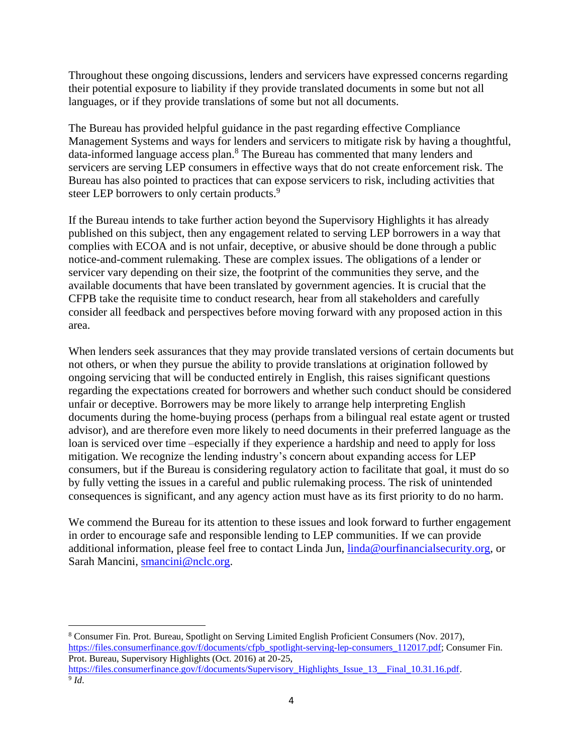Throughout these ongoing discussions, lenders and servicers have expressed concerns regarding their potential exposure to liability if they provide translated documents in some but not all languages, or if they provide translations of some but not all documents.

The Bureau has provided helpful guidance in the past regarding effective Compliance Management Systems and ways for lenders and servicers to mitigate risk by having a thoughtful, data-informed language access plan.<sup>8</sup> The Bureau has commented that many lenders and servicers are serving LEP consumers in effective ways that do not create enforcement risk. The Bureau has also pointed to practices that can expose servicers to risk, including activities that steer LEP borrowers to only certain products.<sup>9</sup>

If the Bureau intends to take further action beyond the Supervisory Highlights it has already published on this subject, then any engagement related to serving LEP borrowers in a way that complies with ECOA and is not unfair, deceptive, or abusive should be done through a public notice-and-comment rulemaking. These are complex issues. The obligations of a lender or servicer vary depending on their size, the footprint of the communities they serve, and the available documents that have been translated by government agencies. It is crucial that the CFPB take the requisite time to conduct research, hear from all stakeholders and carefully consider all feedback and perspectives before moving forward with any proposed action in this area.

When lenders seek assurances that they may provide translated versions of certain documents but not others, or when they pursue the ability to provide translations at origination followed by ongoing servicing that will be conducted entirely in English, this raises significant questions regarding the expectations created for borrowers and whether such conduct should be considered unfair or deceptive. Borrowers may be more likely to arrange help interpreting English documents during the home-buying process (perhaps from a bilingual real estate agent or trusted advisor), and are therefore even more likely to need documents in their preferred language as the loan is serviced over time –especially if they experience a hardship and need to apply for loss mitigation. We recognize the lending industry's concern about expanding access for LEP consumers, but if the Bureau is considering regulatory action to facilitate that goal, it must do so by fully vetting the issues in a careful and public rulemaking process. The risk of unintended consequences is significant, and any agency action must have as its first priority to do no harm.

We commend the Bureau for its attention to these issues and look forward to further engagement in order to encourage safe and responsible lending to LEP communities. If we can provide additional information, please feel free to contact Linda Jun, [linda@ourfinancialsecurity.org,](mailto:linda@ourfinancialsecurity.org) or Sarah Mancini, [smancini@nclc.org.](mailto:smancini@nclc.org)

<sup>8</sup> Consumer Fin. Prot. Bureau, Spotlight on Serving Limited English Proficient Consumers (Nov. 2017), [https://files.consumerfinance.gov/f/documents/cfpb\\_spotlight-serving-lep-consumers\\_112017.pdf;](https://files.consumerfinance.gov/f/documents/cfpb_spotlight-serving-lep-consumers_112017.pdf) Consumer Fin. Prot. Bureau, Supervisory Highlights (Oct. 2016) at 20-25, [https://files.consumerfinance.gov/f/documents/Supervisory\\_Highlights\\_Issue\\_13\\_\\_Final\\_10.31.16.pdf.](https://files.consumerfinance.gov/f/documents/Supervisory_Highlights_Issue_13__Final_10.31.16.pdf) 9 *Id*.